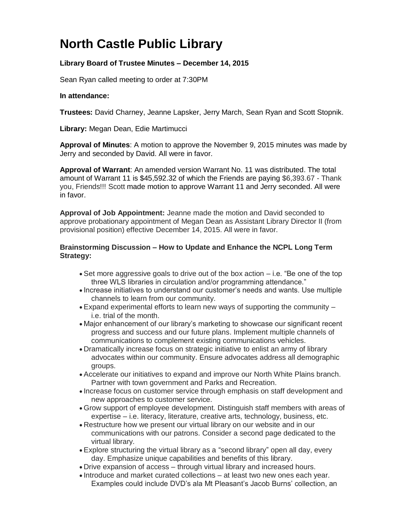## **North Castle Public Library**

## **Library Board of Trustee Minutes – December 14, 2015**

Sean Ryan called meeting to order at 7:30PM

## **In attendance:**

**Trustees:** David Charney, Jeanne Lapsker, Jerry March, Sean Ryan and Scott Stopnik.

**Library:** Megan Dean, Edie Martimucci

**Approval of Minutes**: A motion to approve the November 9, 2015 minutes was made by Jerry and seconded by David. All were in favor.

**Approval of Warrant**: An amended version Warrant No. 11 was distributed. The total amount of Warrant 11 is \$45,592.32 of which the Friends are paying \$6,393.67 - Thank you, Friends!!! Scott made motion to approve Warrant 11 and Jerry seconded. All were in favor.

**Approval of Job Appointment:** Jeanne made the motion and David seconded to approve probationary appointment of Megan Dean as Assistant Library Director II (from provisional position) effective December 14, 2015. All were in favor.

## **Brainstorming Discussion – How to Update and Enhance the NCPL Long Term Strategy:**

- $\bullet$  Set more aggressive goals to drive out of the box action  $-$  i.e. "Be one of the top three WLS libraries in circulation and/or programming attendance."
- Increase initiatives to understand our customer's needs and wants. Use multiple channels to learn from our community.
- Expand experimental efforts to learn new ways of supporting the community i.e. trial of the month.
- Major enhancement of our library's marketing to showcase our significant recent progress and success and our future plans. Implement multiple channels of communications to complement existing communications vehicles.
- Dramatically increase focus on strategic initiative to enlist an army of library advocates within our community. Ensure advocates address all demographic groups.
- Accelerate our initiatives to expand and improve our North White Plains branch. Partner with town government and Parks and Recreation.
- Increase focus on customer service through emphasis on staff development and new approaches to customer service.
- Grow support of employee development. Distinguish staff members with areas of expertise – i.e. literacy, literature, creative arts, technology, business, etc.
- Restructure how we present our virtual library on our website and in our communications with our patrons. Consider a second page dedicated to the virtual library.
- Explore structuring the virtual library as a "second library" open all day, every day. Emphasize unique capabilities and benefits of this library.
- Drive expansion of access through virtual library and increased hours.
- Introduce and market curated collections at least two new ones each year. Examples could include DVD's ala Mt Pleasant's Jacob Burns' collection, an